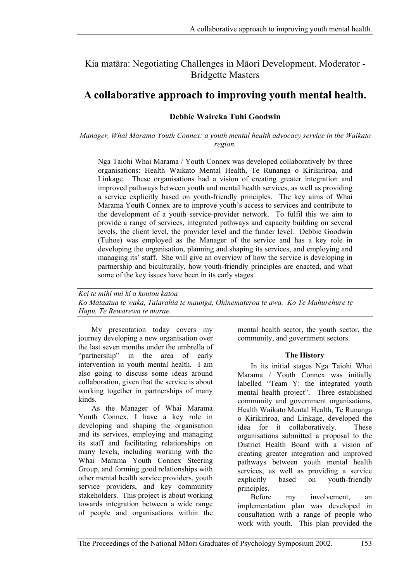Kia matāra: Negotiating Challenges in Māori Development. Moderator - Bridgette Masters

# **A collaborative approach to improving youth mental health.**

## **Debbie Waireka Tuhi Goodwin**

*Manager, Whai Marama Youth Connex: a youth mental health advocacy service in the Waikato region.* 

Nga Taiohi Whai Marama / Youth Connex was developed collaboratively by three organisations: Health Waikato Mental Health, Te Runanga o Kirikiriroa, and Linkage. These organisations had a vision of creating greater integration and improved pathways between youth and mental health services, as well as providing a service explicitly based on youth-friendly principles. The key aims of Whai Marama Youth Connex are to improve youth's access to services and contribute to the development of a youth service-provider network. To fulfil this we aim to provide a range of services, integrated pathways and capacity building on several levels, the client level, the provider level and the funder level. Debbie Goodwin (Tuhoe) was employed as the Manager of the service and has a key role in developing the organisation, planning and shaping its services, and employing and managing its' staff. She will give an overview of how the service is developing in partnership and biculturally, how youth-friendly principles are enacted, and what some of the key issues have been in its early stages.

*Kei te mihi nui ki a koutou katoa Ko Mataatua te waka, Taiarahia te maunga, Ohinemateroa te awa, Ko Te Mahurehure te Hapu, Te Rewarewa te marae.* 

My presentation today covers my journey developing a new organisation over the last seven months under the umbrella of "partnership" in the area of early intervention in youth mental health. I am also going to discuss some ideas around collaboration, given that the service is about working together in partnerships of many kinds.

As the Manager of Whai Marama Youth Connex, I have a key role in developing and shaping the organisation and its services, employing and managing its staff and facilitating relationships on many levels, including working with the Whai Marama Youth Connex Steering Group, and forming good relationships with other mental health service providers, youth service providers, and key community stakeholders. This project is about working towards integration between a wide range of people and organisations within the

mental health sector, the youth sector, the community, and government sectors.

## **The History**

In its initial stages Nga Taiohi Whai Marama / Youth Connex was initially labelled "Team Y: the integrated youth mental health project". Three established community and government organisations, Health Waikato Mental Health, Te Runanga o Kirikiriroa, and Linkage, developed the idea for it collaboratively. These organisations submitted a proposal to the District Health Board with a vision of creating greater integration and improved pathways between youth mental health services, as well as providing a service explicitly based on youth-friendly principles.

Before my involvement, an implementation plan was developed in consultation with a range of people who work with youth. This plan provided the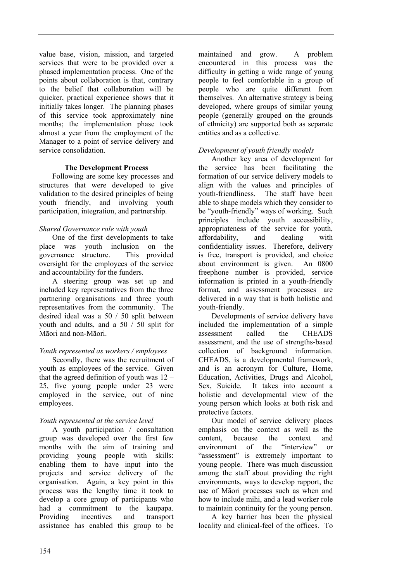value base, vision, mission, and targeted services that were to be provided over a phased implementation process. One of the points about collaboration is that, contrary to the belief that collaboration will be quicker, practical experience shows that it initially takes longer. The planning phases of this service took approximately nine months; the implementation phase took almost a year from the employment of the Manager to a point of service delivery and service consolidation.

#### **The Development Process**

Following are some key processes and structures that were developed to give validation to the desired principles of being youth friendly, and involving youth participation, integration, and partnership.

## *Shared Governance role with youth*

One of the first developments to take place was youth inclusion on the governance structure. This provided oversight for the employees of the service and accountability for the funders.

A steering group was set up and included key representatives from the three partnering organisations and three youth representatives from the community. The desired ideal was a 50 / 50 split between youth and adults, and a 50 / 50 split for Māori and non-Māori.

## *Youth represented as workers / employees*

Secondly, there was the recruitment of youth as employees of the service. Given that the agreed definition of youth was  $12 -$ 25, five young people under 23 were employed in the service, out of nine employees.

## *Youth represented at the service level*

A youth participation / consultation group was developed over the first few months with the aim of training and providing young people with skills: enabling them to have input into the projects and service delivery of the organisation. Again, a key point in this process was the lengthy time it took to develop a core group of participants who had a commitment to the kaupapa. Providing incentives and transport assistance has enabled this group to be

maintained and grow. A problem encountered in this process was the difficulty in getting a wide range of young people to feel comfortable in a group of people who are quite different from themselves. An alternative strategy is being developed, where groups of similar young people (generally grouped on the grounds of ethnicity) are supported both as separate entities and as a collective.

## *Development of youth friendly models*

Another key area of development for the service has been facilitating the formation of our service delivery models to align with the values and principles of youth-friendliness. The staff have been able to shape models which they consider to be "youth-friendly" ways of working. Such principles include youth accessibility, appropriateness of the service for youth, affordability, and dealing with confidentiality issues. Therefore, delivery is free, transport is provided, and choice about environment is given. An 0800 freephone number is provided, service information is printed in a youth-friendly format, and assessment processes are delivered in a way that is both holistic and youth-friendly.

Developments of service delivery have included the implementation of a simple assessment called the CHEADS assessment, and the use of strengths-based collection of background information. CHEADS, is a developmental framework, and is an acronym for Culture, Home, Education, Activities, Drugs and Alcohol, Sex, Suicide. It takes into account a holistic and developmental view of the young person which looks at both risk and protective factors.

Our model of service delivery places emphasis on the context as well as the content, because the context and environment of the "interview" or "assessment" is extremely important to young people. There was much discussion among the staff about providing the right environments, ways to develop rapport, the use of Māori processes such as when and how to include mihi, and a lead worker role to maintain continuity for the young person.

A key barrier has been the physical locality and clinical-feel of the offices. To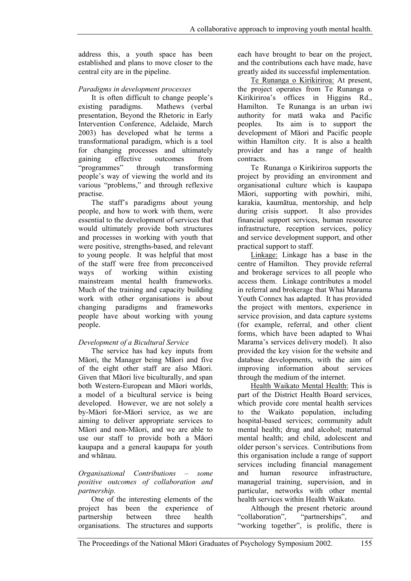address this, a youth space has been established and plans to move closer to the central city are in the pipeline.

## *Paradigms in development processes*

It is often difficult to change people's existing paradigms. Mathews (verbal presentation, Beyond the Rhetoric in Early Intervention Conference, Adelaide, March 2003) has developed what he terms a transformational paradigm, which is a tool for changing processes and ultimately gaining effective outcomes from "programmes" through transforming people's way of viewing the world and its various "problems," and through reflexive practise.

The staff's paradigms about young people, and how to work with them, were essential to the development of services that would ultimately provide both structures and processes in working with youth that were positive, strengths-based, and relevant to young people. It was helpful that most of the staff were free from preconceived ways of working within existing mainstream mental health frameworks. Much of the training and capacity building work with other organisations is about changing paradigms and frameworks people have about working with young people.

## *Development of a Bicultural Service*

The service has had key inputs from Māori, the Manager being Māori and five of the eight other staff are also Māori. Given that Māori live biculturally, and span both Western-European and Māori worlds, a model of a bicultural service is being developed. However, we are not solely a by-Māori for-Māori service, as we are aiming to deliver appropriate services to Māori and non-Māori, and we are able to use our staff to provide both a Māori kaupapa and a general kaupapa for youth and whānau.

#### *Organisational Contributions – some positive outcomes of collaboration and partnership.*

One of the interesting elements of the project has been the experience of partnership between three health organisations. The structures and supports

each have brought to bear on the project, and the contributions each have made, have greatly aided its successful implementation.

Te Runanga o Kirikiriroa: At present, the project operates from Te Runanga o Kirikiriroa's offices in Higgins Rd., Hamilton. Te Runanga is an urban iwi authority for matā waka and Pacific peoples. Its aim is to support the development of Māori and Pacific people within Hamilton city. It is also a health provider and has a range of health contracts.

Te Runanga o Kirikiriroa supports the project by providing an environment and organisational culture which is kaupapa Māori, supporting with powhiri, mihi, karakia, kaumātua, mentorship, and help during crisis support. It also provides financial support services, human resource infrastructure, reception services, policy and service development support, and other practical support to staff.

Linkage: Linkage has a base in the centre of Hamilton. They provide referral and brokerage services to all people who access them. Linkage contributes a model in referral and brokerage that Whai Marama Youth Connex has adapted. It has provided the project with mentors, experience in service provision, and data capture systems (for example, referral, and other client forms, which have been adapted to Whai Marama's services delivery model). It also provided the key vision for the website and database developments, with the aim of improving information about services through the medium of the internet.

Health Waikato Mental Health: This is part of the District Health Board services, which provide core mental health services to the Waikato population, including hospital-based services; community adult mental health; drug and alcohol; maternal mental health; and child, adolescent and older person's services. Contributions from this organisation include a range of support services including financial management and human resource infrastructure, managerial training, supervision, and in particular, networks with other mental health services within Health Waikato.

Although the present rhetoric around "collaboration", "partnerships", and "working together", is prolific, there is